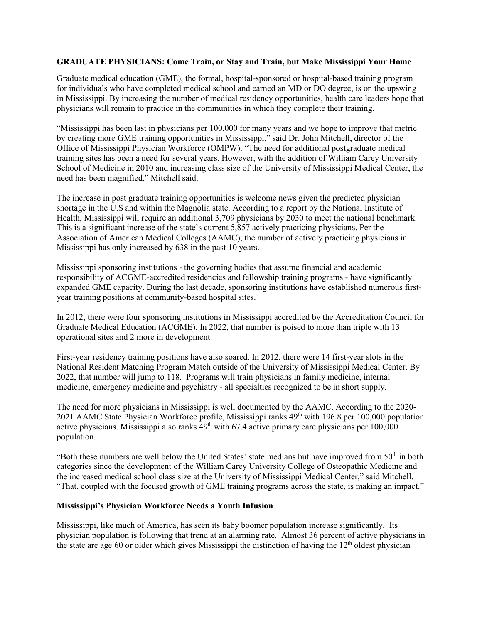## **GRADUATE PHYSICIANS: Come Train, or Stay and Train, but Make Mississippi Your Home**

Graduate medical education (GME), the formal, hospital-sponsored or hospital-based training program for individuals who have completed medical school and earned an MD or DO degree, is on the upswing in Mississippi. By increasing the number of medical residency opportunities, health care leaders hope that physicians will remain to practice in the communities in which they complete their training.

"Mississippi has been last in physicians per 100,000 for many years and we hope to improve that metric by creating more GME training opportunities in Mississippi," said Dr. John Mitchell, director of the Office of Mississippi Physician Workforce (OMPW). "The need for additional postgraduate medical training sites has been a need for several years. However, with the addition of William Carey University School of Medicine in 2010 and increasing class size of the University of Mississippi Medical Center, the need has been magnified," Mitchell said.

The increase in post graduate training opportunities is welcome news given the predicted physician shortage in the U.S and within the Magnolia state. According to a report by the National Institute of Health, Mississippi will require an additional 3,709 physicians by 2030 to meet the national benchmark. This is a significant increase of the state's current 5,857 actively practicing physicians. Per the Association of American Medical Colleges (AAMC), the number of actively practicing physicians in Mississippi has only increased by 638 in the past 10 years.

Mississippi sponsoring institutions - the governing bodies that assume financial and academic responsibility of ACGME-accredited residencies and fellowship training programs - have significantly expanded GME capacity. During the last decade, sponsoring institutions have established numerous firstyear training positions at community-based hospital sites.

In 2012, there were four sponsoring institutions in Mississippi accredited by the Accreditation Council for Graduate Medical Education (ACGME). In 2022, that number is poised to more than triple with 13 operational sites and 2 more in development.

First-year residency training positions have also soared. In 2012, there were 14 first-year slots in the National Resident Matching Program Match outside of the University of Mississippi Medical Center. By 2022, that number will jump to 118. Programs will train physicians in family medicine, internal medicine, emergency medicine and psychiatry - all specialties recognized to be in short supply.

The need for more physicians in Mississippi is well documented by the AAMC. According to the 2020- 2021 AAMC State Physician Workforce profile, Mississippi ranks 49th with 196.8 per 100,000 population active physicians. Mississippi also ranks  $49<sup>th</sup>$  with 67.4 active primary care physicians per  $100,000$ population.

"Both these numbers are well below the United States' state medians but have improved from 50<sup>th</sup> in both categories since the development of the William Carey University College of Osteopathic Medicine and the increased medical school class size at the University of Mississippi Medical Center," said Mitchell. "That, coupled with the focused growth of GME training programs across the state, is making an impact."

#### **Mississippi's Physician Workforce Needs a Youth Infusion**

Mississippi, like much of America, has seen its baby boomer population increase significantly. Its physician population is following that trend at an alarming rate. Almost 36 percent of active physicians in the state are age 60 or older which gives Mississippi the distinction of having the 12<sup>th</sup> oldest physician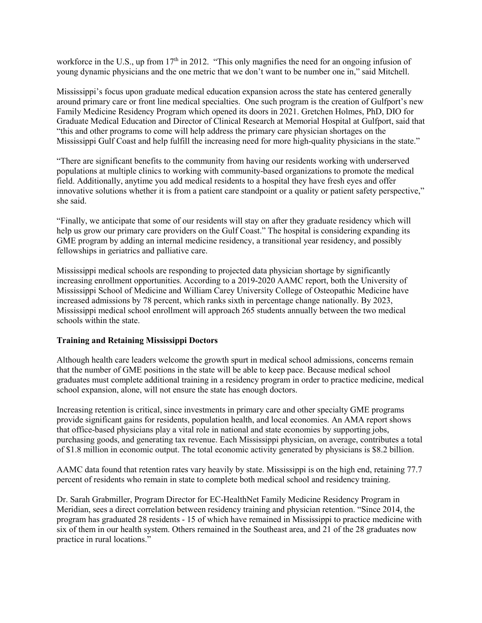workforce in the U.S., up from 17<sup>th</sup> in 2012. "This only magnifies the need for an ongoing infusion of young dynamic physicians and the one metric that we don't want to be number one in," said Mitchell.

Mississippi's focus upon graduate medical education expansion across the state has centered generally around primary care or front line medical specialties. One such program is the creation of Gulfport's new Family Medicine Residency Program which opened its doors in 2021. Gretchen Holmes, PhD, DIO for Graduate Medical Education and Director of Clinical Research at Memorial Hospital at Gulfport, said that "this and other programs to come will help address the primary care physician shortages on the Mississippi Gulf Coast and help fulfill the increasing need for more high-quality physicians in the state."

"There are significant benefits to the community from having our residents working with underserved populations at multiple clinics to working with community-based organizations to promote the medical field. Additionally, anytime you add medical residents to a hospital they have fresh eyes and offer innovative solutions whether it is from a patient care standpoint or a quality or patient safety perspective," she said.

"Finally, we anticipate that some of our residents will stay on after they graduate residency which will help us grow our primary care providers on the Gulf Coast." The hospital is considering expanding its GME program by adding an internal medicine residency, a transitional year residency, and possibly fellowships in geriatrics and palliative care.

Mississippi medical schools are responding to projected data physician shortage by significantly increasing enrollment opportunities. According to a 2019-2020 AAMC report, both the University of Mississippi School of Medicine and William Carey University College of Osteopathic Medicine have increased admissions by 78 percent, which ranks sixth in percentage change nationally. By 2023, Mississippi medical school enrollment will approach 265 students annually between the two medical schools within the state.

## **Training and Retaining Mississippi Doctors**

Although health care leaders welcome the growth spurt in medical school admissions, concerns remain that the number of GME positions in the state will be able to keep pace. Because medical school graduates must complete additional training in a residency program in order to practice medicine, medical school expansion, alone, will not ensure the state has enough doctors.

Increasing retention is critical, since investments in primary care and other specialty GME programs provide significant gains for residents, population health, and local economies. An AMA report shows that office-based physicians play a vital role in national and state economies by supporting jobs, purchasing goods, and generating tax revenue. Each Mississippi physician, on average, contributes a total of \$1.8 million in economic output. The total economic activity generated by physicians is \$8.2 billion.

AAMC data found that retention rates vary heavily by state. Mississippi is on the high end, retaining 77.7 percent of residents who remain in state to complete both medical school and residency training.

Dr. Sarah Grabmiller, Program Director for EC-HealthNet Family Medicine Residency Program in Meridian, sees a direct correlation between residency training and physician retention. "Since 2014, the program has graduated 28 residents - 15 of which have remained in Mississippi to practice medicine with six of them in our health system. Others remained in the Southeast area, and 21 of the 28 graduates now practice in rural locations."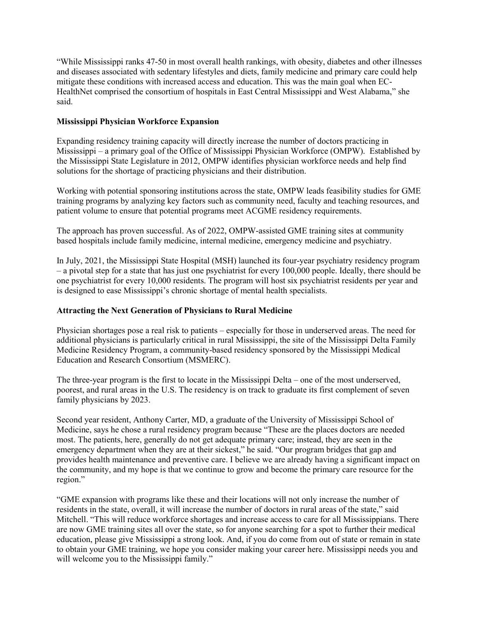"While Mississippi ranks 47-50 in most overall health rankings, with obesity, diabetes and other illnesses and diseases associated with sedentary lifestyles and diets, family medicine and primary care could help mitigate these conditions with increased access and education. This was the main goal when EC-HealthNet comprised the consortium of hospitals in East Central Mississippi and West Alabama," she said.

# **Mississippi Physician Workforce Expansion**

Expanding residency training capacity will directly increase the number of doctors practicing in Mississippi – a primary goal of the Office of Mississippi Physician Workforce (OMPW). Established by the Mississippi State Legislature in 2012, OMPW identifies physician workforce needs and help find solutions for the shortage of practicing physicians and their distribution.

Working with potential sponsoring institutions across the state, OMPW leads feasibility studies for GME training programs by analyzing key factors such as community need, faculty and teaching resources, and patient volume to ensure that potential programs meet ACGME residency requirements.

The approach has proven successful. As of 2022, OMPW-assisted GME training sites at community based hospitals include family medicine, internal medicine, emergency medicine and psychiatry.

In July, 2021, the Mississippi State Hospital (MSH) launched its four-year psychiatry residency program – a pivotal step for a state that has just one psychiatrist for every 100,000 people. Ideally, there should be one psychiatrist for every 10,000 residents. The program will host six psychiatrist residents per year and is designed to ease Mississippi's chronic shortage of mental health specialists.

# **Attracting the Next Generation of Physicians to Rural Medicine**

Physician shortages pose a real risk to patients – especially for those in underserved areas. The need for additional physicians is particularly critical in rural Mississippi, the site of the Mississippi Delta Family Medicine Residency Program, a community-based residency sponsored by the Mississippi Medical Education and Research Consortium (MSMERC).

The three-year program is the first to locate in the Mississippi Delta – one of the most underserved, poorest, and rural areas in the U.S. The residency is on track to graduate its first complement of seven family physicians by 2023.

Second year resident, Anthony Carter, MD, a graduate of the University of Mississippi School of Medicine, says he chose a rural residency program because "These are the places doctors are needed most. The patients, here, generally do not get adequate primary care; instead, they are seen in the emergency department when they are at their sickest," he said. "Our program bridges that gap and provides health maintenance and preventive care. I believe we are already having a significant impact on the community, and my hope is that we continue to grow and become the primary care resource for the region."

"GME expansion with programs like these and their locations will not only increase the number of residents in the state, overall, it will increase the number of doctors in rural areas of the state," said Mitchell. "This will reduce workforce shortages and increase access to care for all Mississippians. There are now GME training sites all over the state, so for anyone searching for a spot to further their medical education, please give Mississippi a strong look. And, if you do come from out of state or remain in state to obtain your GME training, we hope you consider making your career here. Mississippi needs you and will welcome you to the Mississippi family."